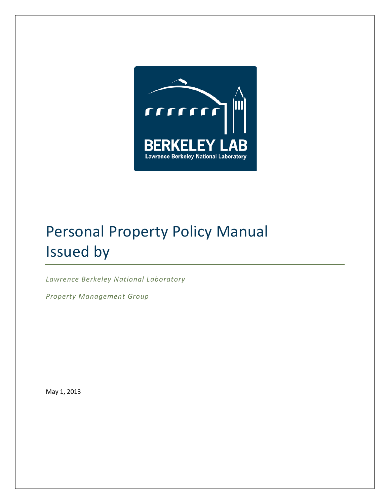

### Personal Property Policy Manual Issued by

*Lawrence Berkeley National Laboratory*

*Property Management Group*

May 1, 2013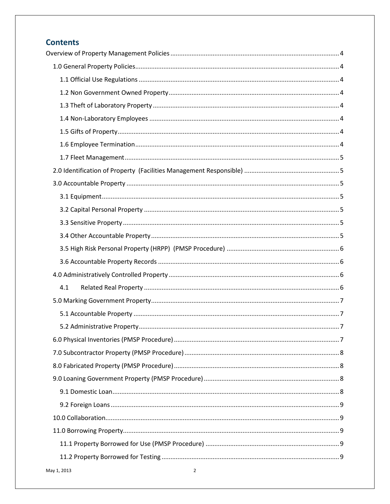### **Contents**

| 4.1 |
|-----|
|     |
|     |
|     |
|     |
|     |
|     |
|     |
|     |
|     |
|     |
|     |
|     |
|     |
|     |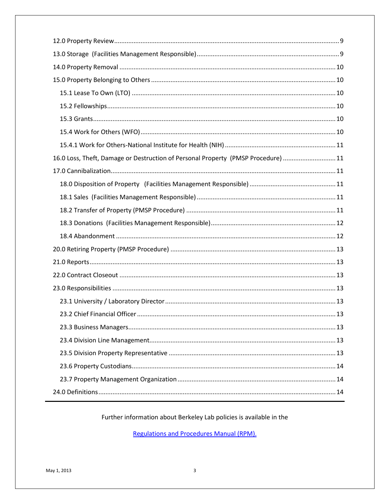| 16.0 Loss, Theft, Damage or Destruction of Personal Property (PMSP Procedure) 11 |
|----------------------------------------------------------------------------------|
|                                                                                  |
|                                                                                  |
|                                                                                  |
|                                                                                  |
|                                                                                  |
|                                                                                  |
|                                                                                  |
|                                                                                  |
|                                                                                  |
|                                                                                  |
|                                                                                  |
|                                                                                  |
|                                                                                  |
|                                                                                  |
|                                                                                  |
|                                                                                  |
|                                                                                  |
|                                                                                  |

Further information about Berkeley Lab policies is available in the

**Regulations and Procedures Manual (RPM).**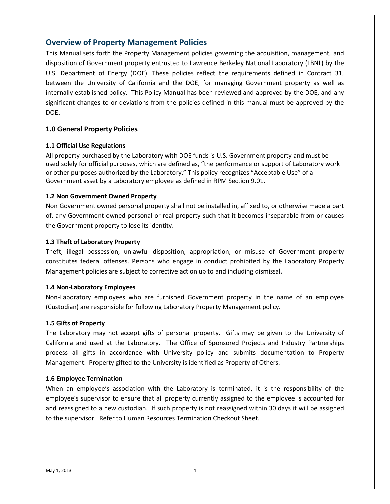#### <span id="page-3-0"></span>**Overview of Property Management Policies**

This Manual sets forth the Property Management policies governing the acquisition, management, and disposition of Government property entrusted to Lawrence Berkeley National Laboratory (LBNL) by the U.S. Department of Energy (DOE). These policies reflect the requirements defined in Contract 31, between the University of California and the DOE, for managing Government property as well as internally established policy. This Policy Manual has been reviewed and approved by the DOE, and any significant changes to or deviations from the policies defined in this manual must be approved by the DOE.

#### <span id="page-3-1"></span>**1.0 General Property Policies**

#### <span id="page-3-2"></span>**1.1 Official Use Regulations**

All property purchased by the Laboratory with DOE funds is U.S. Government property and must be used solely for official purposes, which are defined as, "the performance or support of Laboratory work or other purposes authorized by the Laboratory." This policy recognizes "Acceptable Use" of a Government asset by a Laboratory employee as defined in RPM Section 9.01.

#### <span id="page-3-3"></span>**1.2 Non Government Owned Property**

Non Government owned personal property shall not be installed in, affixed to, or otherwise made a part of, any Government-owned personal or real property such that it becomes inseparable from or causes the Government property to lose its identity.

#### <span id="page-3-4"></span>**1.3 Theft of Laboratory Property**

Theft, illegal possession, unlawful disposition, appropriation, or misuse of Government property constitutes federal offenses. Persons who engage in conduct prohibited by the Laboratory Property Management policies are subject to corrective action up to and including dismissal.

#### <span id="page-3-5"></span>**1.4 Non-Laboratory Employees**

Non-Laboratory employees who are furnished Government property in the name of an employee (Custodian) are responsible for following Laboratory Property Management policy.

#### <span id="page-3-6"></span>**1.5 Gifts of Property**

The Laboratory may not accept gifts of personal property. Gifts may be given to the University of California and used at the Laboratory. The Office of Sponsored Projects and Industry Partnerships process all gifts in accordance with University policy and submits documentation to Property Management. Property gifted to the University is identified as Property of Others.

#### <span id="page-3-7"></span>**1.6 Employee Termination**

When an employee's association with the Laboratory is terminated, it is the responsibility of the employee's supervisor to ensure that all property currently assigned to the employee is accounted for and reassigned to a new custodian. If such property is not reassigned within 30 days it will be assigned to the supervisor. Refer to Human Resources Termination Checkout Sheet.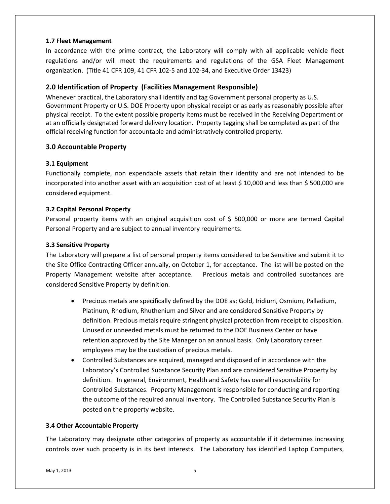#### <span id="page-4-0"></span>**1.7 Fleet Management**

In accordance with the prime contract, the Laboratory will comply with all applicable vehicle fleet regulations and/or will meet the requirements and regulations of the GSA Fleet Management organization. (Title 41 CFR 109, 41 CFR 102-5 and 102-34, and Executive Order 13423)

#### <span id="page-4-1"></span>**2.0 Identification of Property (Facilities Management Responsible)**

Whenever practical, the Laboratory shall identify and tag Government personal property as U.S. Government Property or U.S. DOE Property upon physical receipt or as early as reasonably possible after physical receipt. To the extent possible property items must be received in the Receiving Department or at an officially designated forward delivery location. Property tagging shall be completed as part of the official receiving function for accountable and administratively controlled property.

#### <span id="page-4-2"></span>**3.0 Accountable Property**

#### <span id="page-4-3"></span>**3.1 Equipment**

Functionally complete, non expendable assets that retain their identity and are not intended to be incorporated into another asset with an acquisition cost of at least \$ 10,000 and less than \$ 500,000 are considered equipment.

#### <span id="page-4-4"></span>**3.2 Capital Personal Property**

Personal property items with an original acquisition cost of \$ 500,000 or more are termed Capital Personal Property and are subject to annual inventory requirements.

#### <span id="page-4-5"></span>**3.3 Sensitive Property**

The Laboratory will prepare a list of personal property items considered to be Sensitive and submit it to the Site Office Contracting Officer annually, on October 1, for acceptance. The list will be posted on the Property Management website after acceptance. Precious metals and controlled substances are considered Sensitive Property by definition.

- Precious metals are specifically defined by the DOE as; Gold, Iridium, Osmium, Palladium, Platinum, Rhodium, Rhuthenium and Silver and are considered Sensitive Property by definition. Precious metals require stringent physical protection from receipt to disposition. Unused or unneeded metals must be returned to the DOE Business Center or have retention approved by the Site Manager on an annual basis. Only Laboratory career employees may be the custodian of precious metals.
- Controlled Substances are acquired, managed and disposed of in accordance with the Laboratory's Controlled Substance Security Plan and are considered Sensitive Property by definition. In general, Environment, Health and Safety has overall responsibility for Controlled Substances. Property Management is responsible for conducting and reporting the outcome of the required annual inventory. The Controlled Substance Security Plan is posted on the property website.

#### <span id="page-4-6"></span>**3.4 Other Accountable Property**

The Laboratory may designate other categories of property as accountable if it determines increasing controls over such property is in its best interests. The Laboratory has identified Laptop Computers,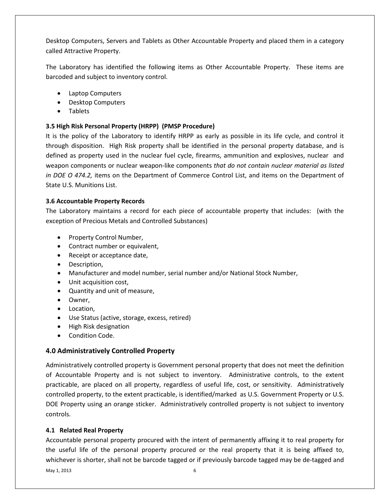Desktop Computers, Servers and Tablets as Other Accountable Property and placed them in a category called Attractive Property.

The Laboratory has identified the following items as Other Accountable Property. These items are barcoded and subject to inventory control.

- Laptop Computers
- Desktop Computers
- Tablets

#### <span id="page-5-0"></span>**3.5 High Risk Personal Property (HRPP) (PMSP Procedure)**

It is the policy of the Laboratory to identify HRPP as early as possible in its life cycle, and control it through disposition. High Risk property shall be identified in the personal property database, and is defined as property used in the nuclear fuel cycle, firearms, ammunition and explosives, nuclear and weapon components or nuclear weapon-like components *that do not contain nuclear material as listed in DOE O 474.2,* items on the Department of Commerce Control List, and items on the Department of State U.S. Munitions List.

#### <span id="page-5-1"></span>**3.6 Accountable Property Records**

The Laboratory maintains a record for each piece of accountable property that includes: (with the exception of Precious Metals and Controlled Substances)

- Property Control Number,
- Contract number or equivalent,
- Receipt or acceptance date,
- Description,
- Manufacturer and model number, serial number and/or National Stock Number,
- Unit acquisition cost,
- Quantity and unit of measure,
- Owner,
- Location,
- Use Status (active, storage, excess, retired)
- High Risk designation
- Condition Code.

#### <span id="page-5-2"></span>**4.0 Administratively Controlled Property**

Administratively controlled property is Government personal property that does not meet the definition of Accountable Property and is not subject to inventory. Administrative controls, to the extent practicable, are placed on all property, regardless of useful life, cost, or sensitivity. Administratively controlled property, to the extent practicable, is identified/marked as U.S. Government Property or U.S. DOE Property using an orange sticker. Administratively controlled property is not subject to inventory controls.

#### <span id="page-5-3"></span>**4.1 Related Real Property**

Accountable personal property procured with the intent of permanently affixing it to real property for the useful life of the personal property procured or the real property that it is being affixed to, whichever is shorter, shall not be barcode tagged or if previously barcode tagged may be de-tagged and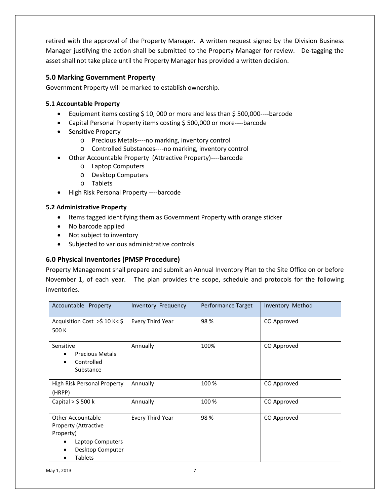retired with the approval of the Property Manager. A written request signed by the Division Business Manager justifying the action shall be submitted to the Property Manager for review. De-tagging the asset shall not take place until the Property Manager has provided a written decision.

#### <span id="page-6-0"></span>**5.0 Marking Government Property**

Government Property will be marked to establish ownership.

#### <span id="page-6-1"></span>**5.1 Accountable Property**

- Equipment items costing \$ 10, 000 or more and less than \$ 500,000----barcode
- Capital Personal Property items costing \$ 500,000 or more----barcode
- Sensitive Property
	- o Precious Metals----no marking, inventory control
	- o Controlled Substances----no marking, inventory control
- Other Accountable Property (Attractive Property)----barcode
	- o Laptop Computers
	- o Desktop Computers
	- o Tablets
- High Risk Personal Property ----barcode

#### <span id="page-6-2"></span>**5.2 Administrative Property**

- Items tagged identifying them as Government Property with orange sticker
- No barcode applied
- Not subject to inventory
- Subjected to various administrative controls

#### <span id="page-6-3"></span>**6.0 Physical Inventories (PMSP Procedure)**

Property Management shall prepare and submit an Annual Inventory Plan to the Site Office on or before November 1, of each year. The plan provides the scope, schedule and protocols for the following inventories.

| Accountable Property                                                                                                           | <b>Inventory Frequency</b> | Performance Target | Inventory Method |
|--------------------------------------------------------------------------------------------------------------------------------|----------------------------|--------------------|------------------|
| Acquisition Cost $>5$ 10 K< \$<br>500 K                                                                                        | Every Third Year           | 98%                | CO Approved      |
| Sensitive<br><b>Precious Metals</b><br>Controlled<br>Substance                                                                 | Annually                   | 100%               | CO Approved      |
| High Risk Personal Property<br>(HRPP)                                                                                          | Annually                   | 100 %              | CO Approved      |
| Capital $>$ \$ 500 k                                                                                                           | Annually                   | 100 %              | CO Approved      |
| <b>Other Accountable</b><br><b>Property (Attractive</b><br>Property)<br>Laptop Computers<br>Desktop Computer<br><b>Tablets</b> | Every Third Year           | 98%                | CO Approved      |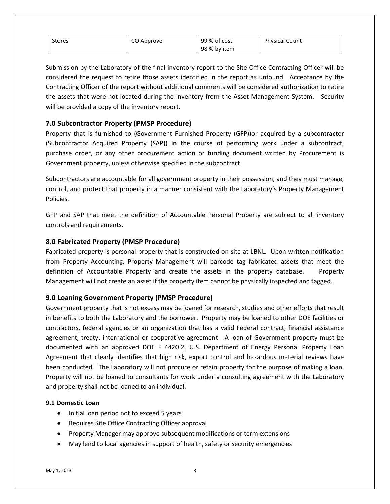| <b>Stores</b> | CO Approve | 99 % of cost | <b>Physical Count</b> |
|---------------|------------|--------------|-----------------------|
|               |            | 98 % by item |                       |

Submission by the Laboratory of the final inventory report to the Site Office Contracting Officer will be considered the request to retire those assets identified in the report as unfound. Acceptance by the Contracting Officer of the report without additional comments will be considered authorization to retire the assets that were not located during the inventory from the Asset Management System. Security will be provided a copy of the inventory report.

#### <span id="page-7-0"></span>**7.0 Subcontractor Property (PMSP Procedure)**

Property that is furnished to (Government Furnished Property (GFP))or acquired by a subcontractor (Subcontractor Acquired Property (SAP)) in the course of performing work under a subcontract, purchase order, or any other procurement action or funding document written by Procurement is Government property, unless otherwise specified in the subcontract.

Subcontractors are accountable for all government property in their possession, and they must manage, control, and protect that property in a manner consistent with the Laboratory's Property Management Policies.

GFP and SAP that meet the definition of Accountable Personal Property are subject to all inventory controls and requirements.

#### <span id="page-7-1"></span>**8.0 Fabricated Property (PMSP Procedure)**

Fabricated property is personal property that is constructed on site at LBNL. Upon written notification from Property Accounting, Property Management will barcode tag fabricated assets that meet the definition of Accountable Property and create the assets in the property database. Property Management will not create an asset if the property item cannot be physically inspected and tagged.

#### <span id="page-7-2"></span>**9.0 Loaning Government Property (PMSP Procedure)**

Government property that is not excess may be loaned for research, studies and other efforts that result in benefits to both the Laboratory and the borrower. Property may be loaned to other DOE facilities or contractors, federal agencies or an organization that has a valid Federal contract, financial assistance agreement, treaty, international or cooperative agreement. A loan of Government property must be documented with an approved DOE F 4420.2, U.S. Department of Energy Personal Property Loan Agreement that clearly identifies that high risk, export control and hazardous material reviews have been conducted. The Laboratory will not procure or retain property for the purpose of making a loan. Property will not be loaned to consultants for work under a consulting agreement with the Laboratory and property shall not be loaned to an individual.

#### <span id="page-7-3"></span>**9.1 Domestic Loan**

- Initial loan period not to exceed 5 years
- Requires Site Office Contracting Officer approval
- Property Manager may approve subsequent modifications or term extensions
- May lend to local agencies in support of health, safety or security emergencies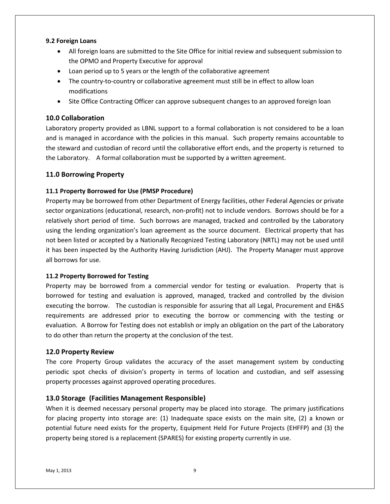#### <span id="page-8-0"></span>**9.2 Foreign Loans**

- All foreign loans are submitted to the Site Office for initial review and subsequent submission to the OPMO and Property Executive for approval
- Loan period up to 5 years or the length of the collaborative agreement
- The country-to-country or collaborative agreement must still be in effect to allow loan modifications
- Site Office Contracting Officer can approve subsequent changes to an approved foreign loan

#### <span id="page-8-1"></span>**10.0 Collaboration**

Laboratory property provided as LBNL support to a formal collaboration is not considered to be a loan and is managed in accordance with the policies in this manual. Such property remains accountable to the steward and custodian of record until the collaborative effort ends, and the property is returned to the Laboratory. A formal collaboration must be supported by a written agreement.

#### <span id="page-8-2"></span>**11.0 Borrowing Property**

#### <span id="page-8-3"></span>**11.1 Property Borrowed for Use (PMSP Procedure)**

Property may be borrowed from other Department of Energy facilities, other Federal Agencies or private sector organizations (educational, research, non-profit) not to include vendors. Borrows should be for a relatively short period of time. Such borrows are managed, tracked and controlled by the Laboratory using the lending organization's loan agreement as the source document. Electrical property that has not been listed or accepted by a Nationally Recognized Testing Laboratory (NRTL) may not be used until it has been inspected by the Authority Having Jurisdiction (AHJ). The Property Manager must approve all borrows for use.

#### <span id="page-8-4"></span>**11.2 Property Borrowed for Testing**

Property may be borrowed from a commercial vendor for testing or evaluation. Property that is borrowed for testing and evaluation is approved, managed, tracked and controlled by the division executing the borrow. The custodian is responsible for assuring that all Legal, Procurement and EH&S requirements are addressed prior to executing the borrow or commencing with the testing or evaluation. A Borrow for Testing does not establish or imply an obligation on the part of the Laboratory to do other than return the property at the conclusion of the test.

#### <span id="page-8-5"></span>**12.0 Property Review**

The core Property Group validates the accuracy of the asset management system by conducting periodic spot checks of division's property in terms of location and custodian, and self assessing property processes against approved operating procedures.

#### <span id="page-8-6"></span>**13.0 Storage (Facilities Management Responsible)**

When it is deemed necessary personal property may be placed into storage. The primary justifications for placing property into storage are: (1) Inadequate space exists on the main site, (2) a known or potential future need exists for the property, Equipment Held For Future Projects (EHFFP) and (3) the property being stored is a replacement (SPARES) for existing property currently in use.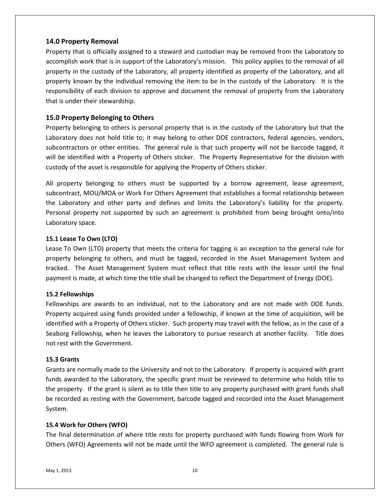#### <span id="page-9-0"></span>**14.0 Property Removal**

Property that is officially assigned to a steward and custodian may be removed from the Laboratory to accomplish work that is in support of the Laboratory's mission. This policy applies to the removal of all property in the custody of the Laboratory, all property identified as property of the Laboratory, and all property known by the individual removing the item to be in the custody of the Laboratory. It is the responsibility of each division to approve and document the removal of property from the Laboratory that is under their stewardship.

#### <span id="page-9-1"></span>**15.0 Property Belonging to Others**

Property belonging to others is personal property that is in the custody of the Laboratory but that the Laboratory does not hold title to; it may belong to other DOE contractors, federal agencies, vendors, subcontractors or other entities. The general rule is that such property will not be barcode tagged, it will be identified with a Property of Others sticker. The Property Representative for the division with custody of the asset is responsible for applying the Property of Others sticker.

All property belonging to others must be supported by a borrow agreement, lease agreement, subcontract, MOU/MOA or Work For Others Agreement that establishes a formal relationship between the Laboratory and other party and defines and limits the Laboratory's liability for the property. Personal property not supported by such an agreement is prohibited from being brought onto/into Laboratory space.

#### <span id="page-9-2"></span>**15.1 Lease To Own (LTO)**

Lease To Own (LTO) property that meets the criteria for tagging is an exception to the general rule for property belonging to others, and must be tagged, recorded in the Asset Management System and tracked. The Asset Management System must reflect that title rests with the lessor until the final payment is made, at which time the title shall be changed to reflect the Department of Energy (DOE).

#### <span id="page-9-3"></span>**15.2 Fellowships**

Fellowships are awards to an individual, not to the Laboratory and are not made with DOE funds. Property acquired using funds provided under a fellowship, if known at the time of acquisition, will be identified with a Property of Others sticker. Such property may travel with the fellow, as in the case of a Seaborg Fellowship, when he leaves the Laboratory to pursue research at another facility. Title does not rest with the Government.

#### <span id="page-9-4"></span>**15.3 Grants**

Grants are normally made to the University and not to the Laboratory. If property is acquired with grant funds awarded to the Laboratory, the specific grant must be reviewed to determine who holds title to the property. If the grant is silent as to title then title to any property purchased with grant funds shall be recorded as resting with the Government, barcode tagged and recorded into the Asset Management System.

#### <span id="page-9-5"></span>**15.4 Work for Others (WFO)**

The final determination of where title rests for property purchased with funds flowing from Work for Others (WFO) Agreements will not be made until the WFO agreement is completed. The general rule is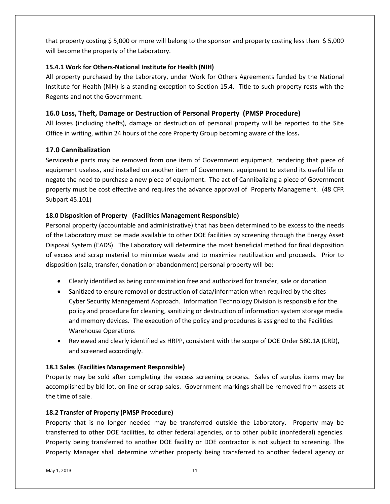that property costing \$ 5,000 or more will belong to the sponsor and property costing less than \$ 5,000 will become the property of the Laboratory.

#### <span id="page-10-0"></span>**15.4.1 Work for Others-National Institute for Health (NIH)**

All property purchased by the Laboratory, under Work for Others Agreements funded by the National Institute for Health (NIH) is a standing exception to Section 15.4. Title to such property rests with the Regents and not the Government.

#### <span id="page-10-1"></span>**16.0 Loss, Theft, Damage or Destruction of Personal Property (PMSP Procedure)**

All losses (including thefts), damage or destruction of personal property will be reported to the Site Office in writing, within 24 hours of the core Property Group becoming aware of the loss**.**

#### <span id="page-10-2"></span>**17.0 Cannibalization**

Serviceable parts may be removed from one item of Government equipment, rendering that piece of equipment useless, and installed on another item of Government equipment to extend its useful life or negate the need to purchase a new piece of equipment. The act of Cannibalizing a piece of Government property must be cost effective and requires the advance approval of Property Management. (48 CFR Subpart 45.101)

#### <span id="page-10-3"></span>**18.0 Disposition of Property (Facilities Management Responsible)**

Personal property (accountable and administrative) that has been determined to be excess to the needs of the Laboratory must be made available to other DOE facilities by screening through the Energy Asset Disposal System (EADS). The Laboratory will determine the most beneficial method for final disposition of excess and scrap material to minimize waste and to maximize reutilization and proceeds. Prior to disposition (sale, transfer, donation or abandonment) personal property will be:

- Clearly identified as being contamination free and authorized for transfer, sale or donation
- Sanitized to ensure removal or destruction of data/information when required by the sites Cyber Security Management Approach. Information Technology Division is responsible for the policy and procedure for cleaning, sanitizing or destruction of information system storage media and memory devices. The execution of the policy and procedures is assigned to the Facilities Warehouse Operations
- Reviewed and clearly identified as HRPP, consistent with the scope of DOE Order 580.1A (CRD), and screened accordingly.

#### <span id="page-10-4"></span>**18.1 Sales (Facilities Management Responsible)**

Property may be sold after completing the excess screening process. Sales of surplus items may be accomplished by bid lot, on line or scrap sales. Government markings shall be removed from assets at the time of sale.

#### <span id="page-10-5"></span>**18.2 Transfer of Property (PMSP Procedure)**

Property that is no longer needed may be transferred outside the Laboratory. Property may be transferred to other DOE facilities, to other federal agencies, or to other public (nonfederal) agencies. Property being transferred to another DOE facility or DOE contractor is not subject to screening. The Property Manager shall determine whether property being transferred to another federal agency or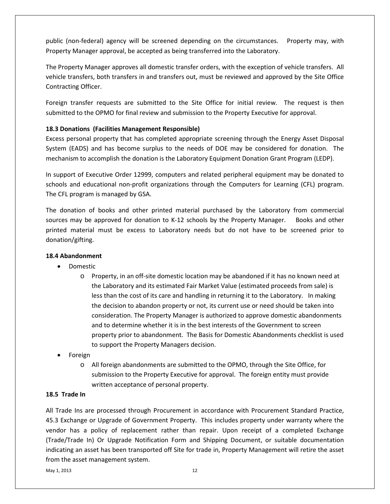public (non-federal) agency will be screened depending on the circumstances. Property may, with Property Manager approval, be accepted as being transferred into the Laboratory.

The Property Manager approves all domestic transfer orders, with the exception of vehicle transfers. All vehicle transfers, both transfers in and transfers out, must be reviewed and approved by the Site Office Contracting Officer.

Foreign transfer requests are submitted to the Site Office for initial review. The request is then submitted to the OPMO for final review and submission to the Property Executive for approval.

#### <span id="page-11-0"></span>**18.3 Donations (Facilities Management Responsible)**

Excess personal property that has completed appropriate screening through the Energy Asset Disposal System (EADS) and has become surplus to the needs of DOE may be considered for donation. The mechanism to accomplish the donation is the Laboratory Equipment Donation Grant Program (LEDP).

In support of Executive Order 12999, computers and related peripheral equipment may be donated to schools and educational non-profit organizations through the Computers for Learning (CFL) program. The CFL program is managed by GSA.

The donation of books and other printed material purchased by the Laboratory from commercial sources may be approved for donation to K-12 schools by the Property Manager. Books and other printed material must be excess to Laboratory needs but do not have to be screened prior to donation/gifting.

#### <span id="page-11-1"></span>**18.4 Abandonment**

- Domestic
	- o Property, in an off-site domestic location may be abandoned if it has no known need at the Laboratory and its estimated Fair Market Value (estimated proceeds from sale) is less than the cost of its care and handling in returning it to the Laboratory. In making the decision to abandon property or not, its current use or need should be taken into consideration. The Property Manager is authorized to approve domestic abandonments and to determine whether it is in the best interests of the Government to screen property prior to abandonment. The Basis for Domestic Abandonments checklist is used to support the Property Managers decision.
- Foreign
	- o All foreign abandonments are submitted to the OPMO, through the Site Office, for submission to the Property Executive for approval. The foreign entity must provide written acceptance of personal property.

#### **18.5 Trade In**

All Trade Ins are processed through Procurement in accordance with Procurement Standard Practice, 45.3 Exchange or Upgrade of Government Property. This includes property under warranty where the vendor has a policy of replacement rather than repair. Upon receipt of a completed Exchange (Trade/Trade In) Or Upgrade Notification Form and Shipping Document, or suitable documentation indicating an asset has been transported off Site for trade in, Property Management will retire the asset from the asset management system.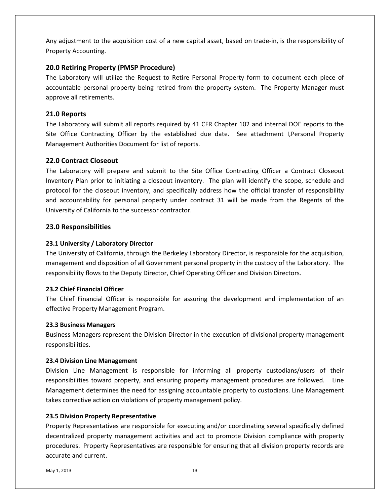Any adjustment to the acquisition cost of a new capital asset, based on trade-in, is the responsibility of Property Accounting.

#### <span id="page-12-0"></span>**20.0 Retiring Property (PMSP Procedure)**

The Laboratory will utilize the Request to Retire Personal Property form to document each piece of accountable personal property being retired from the property system. The Property Manager must approve all retirements.

#### <span id="page-12-1"></span>**21.0 Reports**

The Laboratory will submit all reports required by 41 CFR Chapter 102 and internal DOE reports to the Site Office Contracting Officer by the established due date. See attachment I,Personal Property Management Authorities Document for list of reports.

#### <span id="page-12-2"></span>**22.0 Contract Closeout**

The Laboratory will prepare and submit to the Site Office Contracting Officer a Contract Closeout Inventory Plan prior to initiating a closeout inventory. The plan will identify the scope, schedule and protocol for the closeout inventory, and specifically address how the official transfer of responsibility and accountability for personal property under contract 31 will be made from the Regents of the University of California to the successor contractor.

#### <span id="page-12-3"></span>**23.0 Responsibilities**

#### <span id="page-12-4"></span>**23.1 University / Laboratory Director**

The University of California, through the Berkeley Laboratory Director, is responsible for the acquisition, management and disposition of all Government personal property in the custody of the Laboratory. The responsibility flows to the Deputy Director, Chief Operating Officer and Division Directors.

#### <span id="page-12-5"></span>**23.2 Chief Financial Officer**

The Chief Financial Officer is responsible for assuring the development and implementation of an effective Property Management Program.

#### <span id="page-12-6"></span>**23.3 Business Managers**

Business Managers represent the Division Director in the execution of divisional property management responsibilities.

#### <span id="page-12-7"></span>**23.4 Division Line Management**

Division Line Management is responsible for informing all property custodians/users of their responsibilities toward property, and ensuring property management procedures are followed. Line Management determines the need for assigning accountable property to custodians. Line Management takes corrective action on violations of property management policy.

#### <span id="page-12-8"></span>**23.5 Division Property Representative**

Property Representatives are responsible for executing and/or coordinating several specifically defined decentralized property management activities and act to promote Division compliance with property procedures. Property Representatives are responsible for ensuring that all division property records are accurate and current.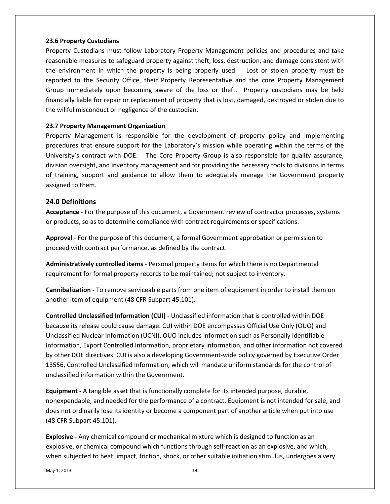#### <span id="page-13-0"></span>**23.6 Property Custodians**

Property Custodians must follow Laboratory Property Management policies and procedures and take reasonable measures to safeguard property against theft, loss, destruction, and damage consistent with the environment in which the property is being properly used. Lost or stolen property must be reported to the Security Office, their Property Representative and the core Property Management Group immediately upon becoming aware of the loss or theft. Property custodians may be held financially liable for repair or replacement of property that is lost, damaged, destroyed or stolen due to the willful misconduct or negligence of the custodian.

#### <span id="page-13-1"></span>**23.7 Property Management Organization**

Property Management is responsible for the development of property policy and implementing procedures that ensure support for the Laboratory's mission while operating within the terms of the University's contract with DOE. The Core Property Group is also responsible for quality assurance, division oversight, and inventory management and for providing the necessary tools to divisions in terms of training, support and guidance to allow them to adequately manage the Government property assigned to them.

#### <span id="page-13-2"></span>**24.0 Definitions**

**Acceptance** - For the purpose of this document, a Government review of contractor processes, systems or products, so as to determine compliance with contract requirements or specifications.

**Approval** - For the purpose of this document, a formal Government approbation or permission to proceed with contract performance, as defined by the contract.

**Administratively controlled items** - Personal property items for which there is no Departmental requirement for formal property records to be maintained; not subject to inventory.

**Cannibalization -** To remove serviceable parts from one item of equipment in order to install them on another item of equipment (48 CFR Subpart 45.101).

**Controlled Unclassified Information (CUI) -** Unclassified information that is controlled within DOE because its release could cause damage. CUI within DOE encompasses Official Use Only (OUO) and Unclassified Nuclear Information (UCNI). OUO includes information such as Personally Identifiable Information, Export Controlled Information, proprietary information, and other information not covered by other DOE directives. CUI is also a developing Government-wide policy governed by Executive Order 13556, Controlled Unclassified Information, which will mandate uniform standards for the control of unclassified information within the Government.

**Equipment -** A tangible asset that is functionally complete for its intended purpose, durable, nonexpendable, and needed for the performance of a contract. Equipment is not intended for sale, and does not ordinarily lose its identity or become a component part of another article when put into use (48 CFR Subpart 45.101).

**Explosive -** Any chemical compound or mechanical mixture which is designed to function as an explosive, or chemical compound which functions through self-reaction as an explosive, and which, when subjected to heat, impact, friction, shock, or other suitable initiation stimulus, undergoes a very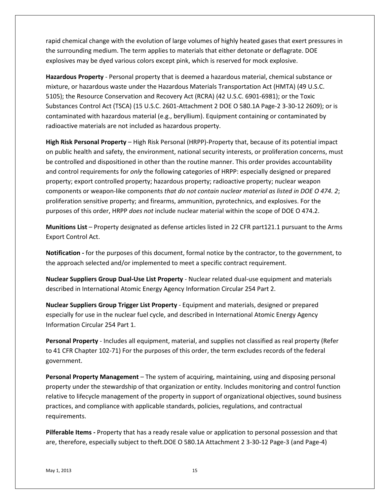rapid chemical change with the evolution of large volumes of highly heated gases that exert pressures in the surrounding medium. The term applies to materials that either detonate or deflagrate. DOE explosives may be dyed various colors except pink, which is reserved for mock explosive.

**Hazardous Property** - Personal property that is deemed a hazardous material, chemical substance or mixture, or hazardous waste under the Hazardous Materials Transportation Act (HMTA) (49 U.S.C. 5105); the Resource Conservation and Recovery Act (RCRA) (42 U.S.C. 6901-6981); or the Toxic Substances Control Act (TSCA) (15 U.S.C. 2601-Attachment 2 DOE O 580.1A Page-2 3-30-12 2609); or is contaminated with hazardous material (e.g., beryllium). Equipment containing or contaminated by radioactive materials are not included as hazardous property.

**High Risk Personal Property** – High Risk Personal (HRPP)-Property that, because of its potential impact on public health and safety, the environment, national security interests, or proliferation concerns, must be controlled and dispositioned in other than the routine manner. This order provides accountability and control requirements for *only* the following categories of HRPP: especially designed or prepared property; export controlled property; hazardous property; radioactive property; nuclear weapon components or weapon-like components *that do not contain nuclear material as listed in DOE O 474. 2*; proliferation sensitive property; and firearms, ammunition, pyrotechnics, and explosives. For the purposes of this order, HRPP *does not* include nuclear material within the scope of DOE O 474.2.

**Munitions List** – Property designated as defense articles listed in 22 CFR part121.1 pursuant to the Arms Export Control Act.

**Notification -** for the purposes of this document, formal notice by the contractor, to the government, to the approach selected and/or implemented to meet a specific contract requirement.

**Nuclear Suppliers Group Dual-Use List Property** - Nuclear related dual-use equipment and materials described in International Atomic Energy Agency Information Circular 254 Part 2.

**Nuclear Suppliers Group Trigger List Property** - Equipment and materials, designed or prepared especially for use in the nuclear fuel cycle, and described in International Atomic Energy Agency Information Circular 254 Part 1.

**Personal Property** - Includes all equipment, material, and supplies not classified as real property (Refer to 41 CFR Chapter 102-71) For the purposes of this order, the term excludes records of the federal government.

**Personal Property Management** – The system of acquiring, maintaining, using and disposing personal property under the stewardship of that organization or entity. Includes monitoring and control function relative to lifecycle management of the property in support of organizational objectives, sound business practices, and compliance with applicable standards, policies, regulations, and contractual requirements.

**Pilferable Items -** Property that has a ready resale value or application to personal possession and that are, therefore, especially subject to theft.DOE O 580.1A Attachment 2 3-30-12 Page-3 (and Page-4)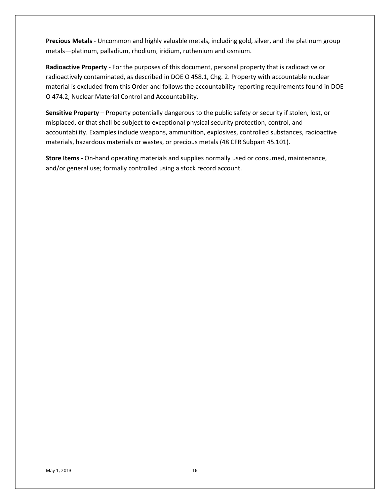**Precious Metals** - Uncommon and highly valuable metals, including gold, silver, and the platinum group metals—platinum, palladium, rhodium, iridium, ruthenium and osmium.

**Radioactive Property** - For the purposes of this document, personal property that is radioactive or radioactively contaminated, as described in DOE O 458.1, Chg. 2. Property with accountable nuclear material is excluded from this Order and follows the accountability reporting requirements found in DOE O 474.2, Nuclear Material Control and Accountability.

**Sensitive Property** – Property potentially dangerous to the public safety or security if stolen, lost, or misplaced, or that shall be subject to exceptional physical security protection, control, and accountability. Examples include weapons, ammunition, explosives, controlled substances, radioactive materials, hazardous materials or wastes, or precious metals (48 CFR Subpart 45.101).

**Store Items -** On-hand operating materials and supplies normally used or consumed, maintenance, and/or general use; formally controlled using a stock record account.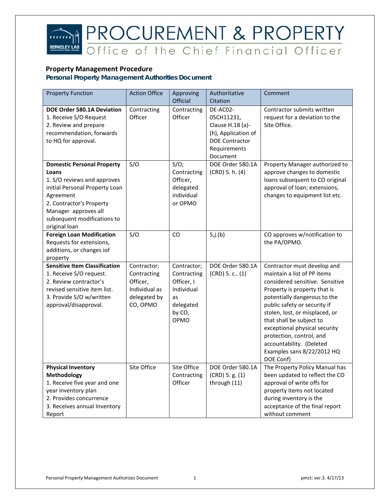

# **PROCUREMENT & PROPERTY**<br>Office of the Chief Financial Officer

#### **Property Management Procedure**

| <b>Property Function</b>                                                                                                                                                                                                     | <b>Action Office</b>                                                                | Approving<br>Official                                                                       | Authoritative<br>Citation                                                                                              | Comment                                                                                                                                                                                                                                                                                                                                                                                         |
|------------------------------------------------------------------------------------------------------------------------------------------------------------------------------------------------------------------------------|-------------------------------------------------------------------------------------|---------------------------------------------------------------------------------------------|------------------------------------------------------------------------------------------------------------------------|-------------------------------------------------------------------------------------------------------------------------------------------------------------------------------------------------------------------------------------------------------------------------------------------------------------------------------------------------------------------------------------------------|
| <b>DOE Order 580.1A Deviation</b><br>1. Receive S/O Request<br>2. Review and prepare<br>recommendation, forwards<br>to HQ for approval.                                                                                      | Contracting<br>Officer                                                              | Contracting<br>Officer                                                                      | DE-AC02-<br>05CH11231,<br>Clause H.18 (a)-<br>(h), Application of<br><b>DOE Contractor</b><br>Requirements<br>Document | Contractor submits written<br>request for a deviation to the<br>Site Office.                                                                                                                                                                                                                                                                                                                    |
| <b>Domestic Personal Property</b><br>Loans<br>1. S/O reviews and approves<br>initial Personal Property Loan<br>Agreement<br>2. Contractor's Property<br>Manager approves all<br>subsequent modifications to<br>original loan | S/O                                                                                 | $S/O$ ;<br>Contracting<br>Officer,<br>delegated<br>individual<br>or OPMO                    | DOE Order 580.1A<br>$(CRD)$ 5. h. $(4)$                                                                                | Property Manager authorized to<br>approve changes to domestic<br>loans subsequent to CO original<br>approval of loan; extensions,<br>changes to equipment list etc.                                                                                                                                                                                                                             |
| <b>Foreign Loan Modification</b><br>Requests for extensions,<br>additions, or changes iof<br>property                                                                                                                        | S/O                                                                                 | CO                                                                                          | 5,j.(b)                                                                                                                | CO approves w/notification to<br>the PA/OPMO.                                                                                                                                                                                                                                                                                                                                                   |
| <b>Sensitive Item Classification</b><br>1. Receive S/O request.<br>2. Review contractor's<br>revised sensitive item list.<br>3. Provide S/O w/written<br>approval/disapproval.                                               | Contractor;<br>Contracting<br>Officer,<br>Individual as<br>delegated by<br>CO, OPMO | Contractor;<br>Contracting<br>Officer, I<br>Individual<br>as<br>delegated<br>by CO,<br>OPMO | DOE Order 580.1A<br>$(CRD)$ 5. c., $(1)$                                                                               | Contractor must develop and<br>maintain a list of PP items<br>considered sensitive. Sensitive<br>Property is property that is<br>potentially dangerous to the<br>public safety or security if<br>stolen, lost, or misplaced, or<br>that shall be subject to<br>exceptional physical security<br>protection, control, and<br>accountability. (Deleted<br>Examples sans 8/22/2012 HQ<br>DOE Conf) |
| <b>Physical Inventory</b><br><b>Methodology</b><br>1. Receive five year and one<br>year inventory plan<br>2. Provides concurrence<br>3. Receives annual Inventory<br>Report                                                  | Site Office                                                                         | Site Office<br>Contracting<br>Officer                                                       | DOE Order 580.1A<br>(CRD) 5.g. (1)<br>through (11)                                                                     | The Property Policy Manual has<br>been updated to reflect the CO<br>approval of write offs for<br>property items not located<br>during inventory is the<br>acceptance of the final report<br>without comment                                                                                                                                                                                    |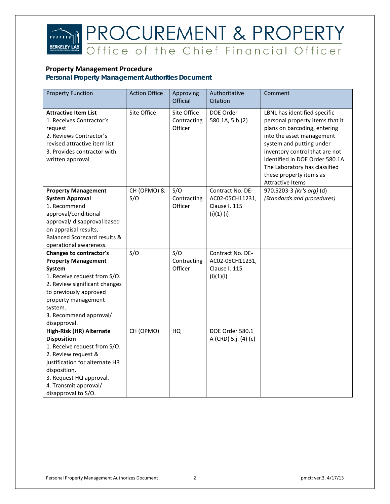### $\widehat{mn}$ **BERKELEY**

# **PROCUREMENT & PROPERTY**<br>Office of the Chief Financial Officer

#### **Property Management Procedure**

| <b>Property Function</b>                                                                                                                                                                                                               | <b>Action Office</b> | Approving<br>Official                 | Authoritative<br>Citation                                         | Comment                                                                                                                                                                                                                                                                                   |
|----------------------------------------------------------------------------------------------------------------------------------------------------------------------------------------------------------------------------------------|----------------------|---------------------------------------|-------------------------------------------------------------------|-------------------------------------------------------------------------------------------------------------------------------------------------------------------------------------------------------------------------------------------------------------------------------------------|
| <b>Attractive Item List</b><br>1. Receives Contractor's<br>request<br>2. Reviews Contractor's<br>revised attractive item list<br>3. Provides contractor with<br>written approval                                                       | Site Office          | Site Office<br>Contracting<br>Officer | DOE Order<br>580.1A, 5.b.(2)                                      | LBNL has identified specific<br>personal property items that it<br>plans on barcoding, entering<br>into the asset management<br>system and putting under<br>inventory control that are not<br>identified in DOE Order 580.1A.<br>The Laboratory has classified<br>these property items as |
| <b>Property Management</b><br><b>System Approval</b><br>1. Recommend<br>approval/conditional<br>approval/ disapproval based<br>on appraisal results,<br><b>Balanced Scorecard results &amp;</b><br>operational awareness.              | CH (OPMO) &<br>S/O   | S/O<br>Contracting<br>Officer         | Contract No. DE-<br>AC02-05CH11231,<br>Clause I. 115<br>(i)(1)(i) | <b>Attractive Items</b><br>970.5203-3 (Kr's org) (d)<br>(Standards and procedures)                                                                                                                                                                                                        |
| Changes to contractor's<br><b>Property Management</b><br>System<br>1. Receive request from S/O.<br>2. Review significant changes<br>to previously approved<br>property management<br>system.<br>3. Recommend approval/<br>disapproval. | S/O                  | S/O<br>Contracting<br>Officer         | Contract No. DE-<br>AC02-05CH11231,<br>Clause I. 115<br>(i)(1)(i) |                                                                                                                                                                                                                                                                                           |
| High-Risk (HR) Alternate<br><b>Disposition</b><br>1. Receive request from S/O.<br>2. Review request &<br>justification for alternate HR<br>disposition.<br>3. Request HQ approval.<br>4. Transmit approval/<br>disapproval to S/O.     | CH (OPMO)            | HQ                                    | DOE Order 580.1<br>A (CRD) 5.j. (4) (c)                           |                                                                                                                                                                                                                                                                                           |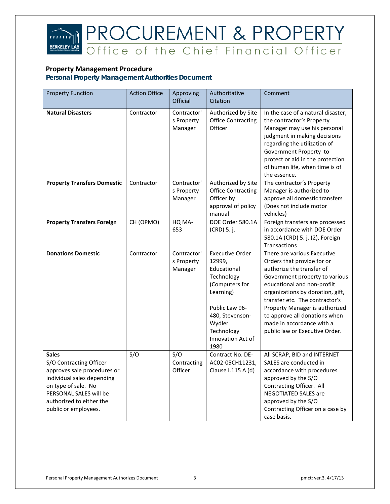

# **PROCUREMENT & PROPERTY**<br>Office of the Chief Financial Officer

#### **Property Management Procedure**

| <b>Property Function</b>                                                                                                                                                                                  | <b>Action Office</b> | Approving<br><b>Official</b>         | Authoritative<br>Citation                                                                                                                                                              | Comment                                                                                                                                                                                                                                                                                                                                                         |
|-----------------------------------------------------------------------------------------------------------------------------------------------------------------------------------------------------------|----------------------|--------------------------------------|----------------------------------------------------------------------------------------------------------------------------------------------------------------------------------------|-----------------------------------------------------------------------------------------------------------------------------------------------------------------------------------------------------------------------------------------------------------------------------------------------------------------------------------------------------------------|
| <b>Natural Disasters</b>                                                                                                                                                                                  | Contractor           | Contractor'<br>s Property<br>Manager | Authorized by Site<br><b>Office Contracting</b><br>Officer                                                                                                                             | In the case of a natural disaster,<br>the contractor's Property<br>Manager may use his personal<br>judgment in making decisions<br>regarding the utilization of<br>Government Property to<br>protect or aid in the protection<br>of human life, when time is of<br>the essence.                                                                                 |
| <b>Property Transfers Domestic</b>                                                                                                                                                                        | Contractor           | Contractor'<br>s Property<br>Manager | Authorized by Site<br><b>Office Contracting</b><br>Officer by<br>approval of policy<br>manual                                                                                          | The contractor's Property<br>Manager is authorized to<br>approve all domestic transfers<br>(Does not include motor<br>vehicles)                                                                                                                                                                                                                                 |
| <b>Property Transfers Foreign</b>                                                                                                                                                                         | CH (OPMO)            | HQ MA-<br>653                        | DOE Order 580.1A<br>(CRD) 5. j.                                                                                                                                                        | Foreign transfers are processed<br>in accordance with DOE Order<br>580.1A (CRD) 5. j. (2), Foreign<br>Transactions                                                                                                                                                                                                                                              |
| <b>Donations Domestic</b>                                                                                                                                                                                 | Contractor           | Contractor'<br>s Property<br>Manager | <b>Executive Order</b><br>12999,<br>Educational<br>Technology<br>(Computers for<br>Learning)<br>Public Law 96-<br>480, Stevenson-<br>Wydler<br>Technology<br>Innovation Act of<br>1980 | There are various Executive<br>Orders that provide for or<br>authorize the transfer of<br>Government property to various<br>educational and non-profiit<br>organizations by donation, gift,<br>transfer etc. The contractor's<br>Property Manager is authorized<br>to approve all donations when<br>made in accordance with a<br>public law or Executive Order. |
| <b>Sales</b><br>S/O Contracting Officer<br>approves sale procedures or<br>individual sales depending<br>on type of sale. No<br>PERSONAL SALES will be<br>authorized to either the<br>public or employees. | S/O                  | S/O<br>Contracting<br>Officer        | Contract No. DE-<br>AC02-05CH11231,<br>Clause I.115 A (d)                                                                                                                              | All SCRAP, BID and INTERNET<br>SALES are conducted in<br>accordance with procedures<br>approved by the S/O<br>Contracting Officer. All<br><b>NEGOTIATED SALES are</b><br>approved by the S/O<br>Contracting Officer on a case by<br>case basis.                                                                                                                 |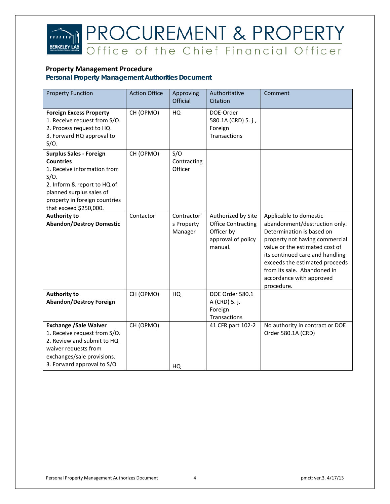

# **PROCUREMENT & PROPERTY**<br>Office of the Chief Financial Officer

#### **Property Management Procedure**

| <b>Property Function</b>                                                                                                                                                                                           | <b>Action Office</b> | Approving<br>Official                | Authoritative<br>Citation                                                                      | Comment                                                                                                                                                                                                                                                                                                |
|--------------------------------------------------------------------------------------------------------------------------------------------------------------------------------------------------------------------|----------------------|--------------------------------------|------------------------------------------------------------------------------------------------|--------------------------------------------------------------------------------------------------------------------------------------------------------------------------------------------------------------------------------------------------------------------------------------------------------|
| <b>Foreign Excess Property</b><br>1. Receive request from S/O.<br>2. Process request to HQ.<br>3. Forward HQ approval to<br>S/O.                                                                                   | CH (OPMO)            | HQ                                   | DOE-Order<br>580.1A (CRD) 5. j.,<br>Foreign<br>Transactions                                    |                                                                                                                                                                                                                                                                                                        |
| <b>Surplus Sales - Foreign</b><br><b>Countries</b><br>1. Receive information from<br>$S/O$ .<br>2. Inform & report to HQ of<br>planned surplus sales of<br>property in foreign countries<br>that exceed \$250,000. | CH (OPMO)            | S/O<br>Contracting<br>Officer        |                                                                                                |                                                                                                                                                                                                                                                                                                        |
| <b>Authority to</b><br><b>Abandon/Destroy Domestic</b>                                                                                                                                                             | Contactor            | Contractor'<br>s Property<br>Manager | Authorized by Site<br><b>Office Contracting</b><br>Officer by<br>approval of policy<br>manual. | Applicable to domestic<br>abandonment/destruction only.<br>Determination is based on<br>property not having commercial<br>value or the estimated cost of<br>its continued care and handling<br>exceeds the estimated proceeds<br>from its sale. Abandoned in<br>accordance with approved<br>procedure. |
| <b>Authority to</b><br><b>Abandon/Destroy Foreign</b>                                                                                                                                                              | CH (OPMO)            | HQ                                   | DOE Order 580.1<br>A (CRD) 5. j.<br>Foreign<br>Transactions                                    |                                                                                                                                                                                                                                                                                                        |
| <b>Exchange /Sale Waiver</b><br>1. Receive request from S/O.<br>2. Review and submit to HQ<br>waiver requests from<br>exchanges/sale provisions.<br>3. Forward approval to S/O                                     | CH (OPMO)            | HQ                                   | 41 CFR part 102-2                                                                              | No authority in contract or DOE<br>Order 580.1A (CRD)                                                                                                                                                                                                                                                  |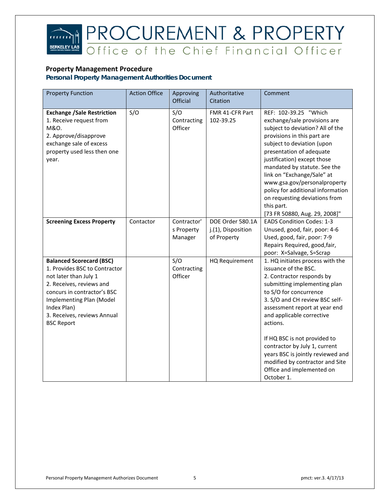

#### **Property Management Procedure**

| <b>Property Function</b>                                                                                                                                                                                                                            | <b>Action Office</b> | Approving                            | Authoritative                                         | Comment                                                                                                                                                                                                                                                                                                                                                                                                                                         |
|-----------------------------------------------------------------------------------------------------------------------------------------------------------------------------------------------------------------------------------------------------|----------------------|--------------------------------------|-------------------------------------------------------|-------------------------------------------------------------------------------------------------------------------------------------------------------------------------------------------------------------------------------------------------------------------------------------------------------------------------------------------------------------------------------------------------------------------------------------------------|
|                                                                                                                                                                                                                                                     |                      | Official                             | Citation                                              |                                                                                                                                                                                                                                                                                                                                                                                                                                                 |
| <b>Exchange /Sale Restriction</b><br>1. Receive request from<br>M&O.<br>2. Approve/disapprove<br>exchange sale of excess<br>property used less then one<br>year.                                                                                    | S/O                  | S/O<br>Contracting<br>Officer        | FMR 41-CFR Part<br>102-39.25                          | REF: 102-39.25 "Which<br>exchange/sale provisions are<br>subject to deviation? All of the<br>provisions in this part are<br>subject to deviation (upon<br>presentation of adequate<br>justification) except those<br>mandated by statute. See the<br>link on "Exchange/Sale" at<br>www.gsa.gov/personalproperty<br>policy for additional information<br>on requesting deviations from<br>this part.<br>[73 FR 50880, Aug. 29, 2008]"            |
| <b>Screening Excess Property</b>                                                                                                                                                                                                                    | Contactor            | Contractor'<br>s Property<br>Manager | DOE Order 580.1A<br>j.(1), Disposition<br>of Property | <b>EADS Condition Codes: 1-3</b><br>Unused, good, fair, poor: 4-6<br>Used, good, fair, poor: 7-9<br>Repairs Required, good, fair,<br>poor: X=Salvage, S=Scrap                                                                                                                                                                                                                                                                                   |
| <b>Balanced Scorecard (BSC)</b><br>1. Provides BSC to Contractor<br>not later than July 1<br>2. Receives, reviews and<br>concurs in contractor's BSC<br>Implementing Plan (Model<br>Index Plan)<br>3. Receives, reviews Annual<br><b>BSC Report</b> |                      | S/O<br>Contracting<br>Officer        | HQ Requirement                                        | 1. HQ initiates process with the<br>issuance of the BSC.<br>2. Contractor responds by<br>submitting implementing plan<br>to S/O for concurrence<br>3. S/O and CH review BSC self-<br>assessment report at year end<br>and applicable corrective<br>actions.<br>If HQ BSC is not provided to<br>contractor by July 1, current<br>years BSC is jointly reviewed and<br>modified by contractor and Site<br>Office and implemented on<br>October 1. |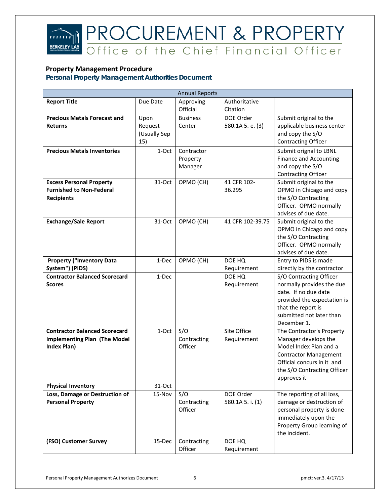### **PROCUREMENT & PROPERTY**<br>Office of the Chief Financial Officer  $\widehat{mn}$ **BERKELEY**

#### **Property Management Procedure**

| <b>Annual Reports</b>                |              |                 |                  |                                                   |  |
|--------------------------------------|--------------|-----------------|------------------|---------------------------------------------------|--|
| <b>Report Title</b>                  | Due Date     | Approving       | Authoritative    |                                                   |  |
|                                      |              | Official        | Citation         |                                                   |  |
| <b>Precious Metals Forecast and</b>  | Upon         | <b>Business</b> | DOE Order        | Submit original to the                            |  |
| <b>Returns</b>                       | Request      | Center          | 580.1A 5. e. (3) | applicable business center                        |  |
|                                      | (Usually Sep |                 |                  | and copy the S/O                                  |  |
|                                      | 15)          |                 |                  | <b>Contracting Officer</b>                        |  |
| <b>Precious Metals Inventories</b>   | 1-Oct        | Contractor      |                  | Submit orignal to LBNL                            |  |
|                                      |              | Property        |                  | <b>Finance and Accounting</b>                     |  |
|                                      |              | Manager         |                  | and copy the S/O                                  |  |
|                                      |              |                 |                  | <b>Contracting Officer</b>                        |  |
| <b>Excess Personal Property</b>      | 31-Oct       | OPMO (CH)       | 41 CFR 102-      | Submit original to the                            |  |
| <b>Furnished to Non-Federal</b>      |              |                 | 36.295           | OPMO in Chicago and copy                          |  |
| <b>Recipients</b>                    |              |                 |                  | the S/O Contracting                               |  |
|                                      |              |                 |                  | Officer. OPMO normally                            |  |
|                                      |              |                 |                  | advises of due date.                              |  |
| <b>Exchange/Sale Report</b>          | 31-Oct       | OPMO (CH)       | 41 CFR 102-39.75 | Submit original to the                            |  |
|                                      |              |                 |                  | OPMO in Chicago and copy                          |  |
|                                      |              |                 |                  | the S/O Contracting                               |  |
|                                      |              |                 |                  | Officer. OPMO normally                            |  |
|                                      |              |                 |                  | advises of due date.                              |  |
| <b>Property ("Inventory Data</b>     | 1-Dec        | OPMO (CH)       | DOE HQ           | Entry to PIDS is made                             |  |
| System") (PIDS)                      |              |                 | Requirement      | directly by the contractor                        |  |
| <b>Contractor Balanced Scorecard</b> | 1-Dec        |                 | DOE HQ           | S/O Contracting Officer                           |  |
| <b>Scores</b>                        |              |                 | Requirement      | normally provides the due<br>date. If no due date |  |
|                                      |              |                 |                  |                                                   |  |
|                                      |              |                 |                  | provided the expectation is<br>that the report is |  |
|                                      |              |                 |                  | submitted not later than                          |  |
|                                      |              |                 |                  | December 1.                                       |  |
| <b>Contractor Balanced Scorecard</b> | 1-Oct        | S/O             | Site Office      | The Contractor's Property                         |  |
| <b>Implementing Plan (The Model</b>  |              | Contracting     | Requirement      | Manager develops the                              |  |
| Index Plan)                          |              | Officer         |                  | Model Index Plan and a                            |  |
|                                      |              |                 |                  | <b>Contractor Management</b>                      |  |
|                                      |              |                 |                  | Official concurs in it and                        |  |
|                                      |              |                 |                  | the S/O Contracting Officer                       |  |
|                                      |              |                 |                  | approves it                                       |  |
| <b>Physical Inventory</b>            | 31-Oct       |                 |                  |                                                   |  |
| Loss, Damage or Destruction of       | 15-Nov       | S/O             | DOE Order        | The reporting of all loss,                        |  |
| <b>Personal Property</b>             |              | Contracting     | 580.1A 5. i. (1) | damage or destruction of                          |  |
|                                      |              | Officer         |                  | personal property is done                         |  |
|                                      |              |                 |                  | immediately upon the                              |  |
|                                      |              |                 |                  | Property Group learning of                        |  |
|                                      |              |                 |                  | the incident.                                     |  |
| (FSO) Customer Survey                | 15-Dec       | Contracting     | DOE HQ           |                                                   |  |
|                                      |              | Officer         | Requirement      |                                                   |  |